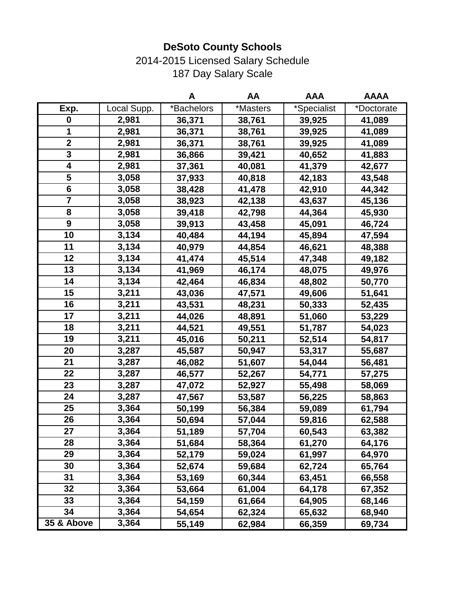2014-2015 Licensed Salary Schedule 187 Day Salary Scale

|                         |             | A          | AA       | <b>AAA</b>  | <b>AAAA</b> |
|-------------------------|-------------|------------|----------|-------------|-------------|
| Exp.                    | Local Supp. | *Bachelors | *Masters | *Specialist | *Doctorate  |
| 0                       | 2,981       | 36,371     | 38,761   | 39,925      | 41,089      |
| 1                       | 2,981       | 36,371     | 38,761   | 39,925      | 41,089      |
| $\overline{\mathbf{2}}$ | 2,981       | 36,371     | 38,761   | 39,925      | 41,089      |
| 3                       | 2,981       | 36,866     | 39,421   | 40,652      | 41,883      |
| 4                       | 2,981       | 37,361     | 40,081   | 41,379      | 42,677      |
| 5                       | 3,058       | 37,933     | 40,818   | 42,183      | 43,548      |
| $6\phantom{1}6$         | 3,058       | 38,428     | 41,478   | 42,910      | 44,342      |
| $\overline{7}$          | 3,058       | 38,923     | 42,138   | 43,637      | 45,136      |
| 8                       | 3,058       | 39,418     | 42,798   | 44,364      | 45,930      |
| 9                       | 3,058       | 39,913     | 43,458   | 45,091      | 46,724      |
| 10                      | 3,134       | 40,484     | 44,194   | 45,894      | 47,594      |
| 11                      | 3,134       | 40,979     | 44,854   | 46,621      | 48,388      |
| 12                      | 3,134       | 41,474     | 45,514   | 47,348      | 49,182      |
| 13                      | 3,134       | 41,969     | 46,174   | 48,075      | 49,976      |
| 14                      | 3,134       | 42,464     | 46,834   | 48,802      | 50,770      |
| 15                      | 3,211       | 43,036     | 47,571   | 49,606      | 51,641      |
| 16                      | 3,211       | 43,531     | 48,231   | 50,333      | 52,435      |
| 17                      | 3,211       | 44,026     | 48,891   | 51,060      | 53,229      |
| 18                      | 3,211       | 44,521     | 49,551   | 51,787      | 54,023      |
| 19                      | 3,211       | 45,016     | 50,211   | 52,514      | 54,817      |
| 20                      | 3,287       | 45,587     | 50,947   | 53,317      | 55,687      |
| 21                      | 3,287       | 46,082     | 51,607   | 54,044      | 56,481      |
| 22                      | 3,287       | 46,577     | 52,267   | 54,771      | 57,275      |
| 23                      | 3,287       | 47,072     | 52,927   | 55,498      | 58,069      |
| 24                      | 3,287       | 47,567     | 53,587   | 56,225      | 58,863      |
| 25                      | 3,364       | 50,199     | 56,384   | 59,089      | 61,794      |
| 26                      | 3,364       | 50,694     | 57,044   | 59,816      | 62,588      |
| 27                      | 3,364       | 51,189     | 57,704   | 60,543      | 63,382      |
| 28                      | 3,364       | 51,684     | 58,364   | 61,270      | 64,176      |
| 29                      | 3,364       | 52,179     | 59,024   | 61,997      | 64,970      |
| 30                      | 3,364       | 52,674     | 59,684   | 62,724      | 65,764      |
| 31                      | 3,364       | 53,169     | 60,344   | 63,451      | 66,558      |
| 32                      | 3,364       | 53,664     | 61,004   | 64,178      | 67,352      |
| 33                      | 3,364       | 54,159     | 61,664   | 64,905      | 68,146      |
| 34                      | 3,364       | 54,654     | 62,324   | 65,632      | 68,940      |
| 35 & Above              | 3,364       | 55,149     | 62,984   | 66,359      | 69,734      |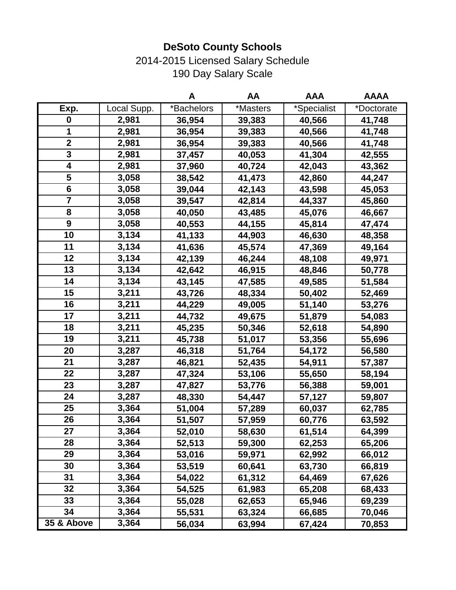2014-2015 Licensed Salary Schedule 190 Day Salary Scale

|                 |             | A          | AA       | <b>AAA</b>  | <b>AAAA</b> |
|-----------------|-------------|------------|----------|-------------|-------------|
| Exp.            | Local Supp. | *Bachelors | *Masters | *Specialist | *Doctorate  |
| $\mathbf 0$     | 2,981       | 36,954     | 39,383   | 40,566      | 41,748      |
| 1               | 2,981       | 36,954     | 39,383   | 40,566      | 41,748      |
| $\mathbf 2$     | 2,981       | 36,954     | 39,383   | 40,566      | 41,748      |
| 3               | 2,981       | 37,457     | 40,053   | 41,304      | 42,555      |
| 4               | 2,981       | 37,960     | 40,724   | 42,043      | 43,362      |
| 5               | 3,058       | 38,542     | 41,473   | 42,860      | 44,247      |
| $6\phantom{1}6$ | 3,058       | 39,044     | 42,143   | 43,598      | 45,053      |
| $\overline{7}$  | 3,058       | 39,547     | 42,814   | 44,337      | 45,860      |
| 8               | 3,058       | 40,050     | 43,485   | 45,076      | 46,667      |
| 9               | 3,058       | 40,553     | 44,155   | 45,814      | 47,474      |
| 10              | 3,134       | 41,133     | 44,903   | 46,630      | 48,358      |
| 11              | 3,134       | 41,636     | 45,574   | 47,369      | 49,164      |
| 12              | 3,134       | 42,139     | 46,244   | 48,108      | 49,971      |
| 13              | 3,134       | 42,642     | 46,915   | 48,846      | 50,778      |
| 14              | 3,134       | 43,145     | 47,585   | 49,585      | 51,584      |
| 15              | 3,211       | 43,726     | 48,334   | 50,402      | 52,469      |
| 16              | 3,211       | 44,229     | 49,005   | 51,140      | 53,276      |
| 17              | 3,211       | 44,732     | 49,675   | 51,879      | 54,083      |
| 18              | 3,211       | 45,235     | 50,346   | 52,618      | 54,890      |
| 19              | 3,211       | 45,738     | 51,017   | 53,356      | 55,696      |
| 20              | 3,287       | 46,318     | 51,764   | 54,172      | 56,580      |
| 21              | 3,287       | 46,821     | 52,435   | 54,911      | 57,387      |
| 22              | 3,287       | 47,324     | 53,106   | 55,650      | 58,194      |
| 23              | 3,287       | 47,827     | 53,776   | 56,388      | 59,001      |
| 24              | 3,287       | 48,330     | 54,447   | 57,127      | 59,807      |
| 25              | 3,364       | 51,004     | 57,289   | 60,037      | 62,785      |
| 26              | 3,364       | 51,507     | 57,959   | 60,776      | 63,592      |
| 27              | 3,364       | 52,010     | 58,630   | 61,514      | 64,399      |
| 28              | 3,364       | 52,513     | 59,300   | 62,253      | 65,206      |
| 29              | 3,364       | 53,016     | 59,971   | 62,992      | 66,012      |
| 30              | 3,364       | 53,519     | 60,641   | 63,730      | 66,819      |
| 31              | 3,364       | 54,022     | 61,312   | 64,469      | 67,626      |
| 32              | 3,364       | 54,525     | 61,983   | 65,208      | 68,433      |
| 33              | 3,364       | 55,028     | 62,653   | 65,946      | 69,239      |
| 34              | 3,364       | 55,531     | 63,324   | 66,685      | 70,046      |
| $35$ & Above    | 3,364       | 56,034     | 63,994   | 67,424      | 70,853      |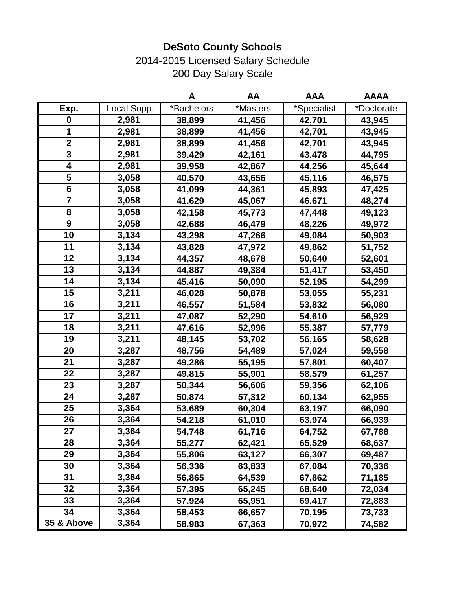2014-2015 Licensed Salary Schedule 200 Day Salary Scale

|                         |             | A          | AA       | <b>AAA</b>  | <b>AAAA</b> |
|-------------------------|-------------|------------|----------|-------------|-------------|
| Exp.                    | Local Supp. | *Bachelors | *Masters | *Specialist | *Doctorate  |
| $\boldsymbol{0}$        | 2,981       | 38,899     | 41,456   | 42,701      | 43,945      |
| 1                       | 2,981       | 38,899     | 41,456   | 42,701      | 43,945      |
| $\overline{\mathbf{2}}$ | 2,981       | 38,899     | 41,456   | 42,701      | 43,945      |
| 3                       | 2,981       | 39,429     | 42,161   | 43,478      | 44,795      |
| 4                       | 2,981       | 39,958     | 42,867   | 44,256      | 45,644      |
| 5                       | 3,058       | 40,570     | 43,656   | 45,116      | 46,575      |
| $6\phantom{1}6$         | 3,058       | 41,099     | 44,361   | 45,893      | 47,425      |
| $\overline{7}$          | 3,058       | 41,629     | 45,067   | 46,671      | 48,274      |
| 8                       | 3,058       | 42,158     | 45,773   | 47,448      | 49,123      |
| 9                       | 3,058       | 42,688     | 46,479   | 48,226      | 49,972      |
| 10                      | 3,134       | 43,298     | 47,266   | 49,084      | 50,903      |
| 11                      | 3,134       | 43,828     | 47,972   | 49,862      | 51,752      |
| 12                      | 3,134       | 44,357     | 48,678   | 50,640      | 52,601      |
| 13                      | 3,134       | 44,887     | 49,384   | 51,417      | 53,450      |
| 14                      | 3,134       | 45,416     | 50,090   | 52,195      | 54,299      |
| 15                      | 3,211       | 46,028     | 50,878   | 53,055      | 55,231      |
| 16                      | 3,211       | 46,557     | 51,584   | 53,832      | 56,080      |
| 17                      | 3,211       | 47,087     | 52,290   | 54,610      | 56,929      |
| 18                      | 3,211       | 47,616     | 52,996   | 55,387      | 57,779      |
| 19                      | 3,211       | 48,145     | 53,702   | 56,165      | 58,628      |
| 20                      | 3,287       | 48,756     | 54,489   | 57,024      | 59,558      |
| 21                      | 3,287       | 49,286     | 55,195   | 57,801      | 60,407      |
| 22                      | 3,287       | 49,815     | 55,901   | 58,579      | 61,257      |
| 23                      | 3,287       | 50,344     | 56,606   | 59,356      | 62,106      |
| 24                      | 3,287       | 50,874     | 57,312   | 60,134      | 62,955      |
| 25                      | 3,364       | 53,689     | 60,304   | 63,197      | 66,090      |
| 26                      | 3,364       | 54,218     | 61,010   | 63,974      | 66,939      |
| 27                      | 3,364       | 54,748     | 61,716   | 64,752      | 67,788      |
| 28                      | 3,364       | 55,277     | 62,421   | 65,529      | 68,637      |
| 29                      | 3,364       | 55,806     | 63,127   | 66,307      | 69,487      |
| 30                      | 3,364       | 56,336     | 63,833   | 67,084      | 70,336      |
| 31                      | 3,364       | 56,865     | 64,539   | 67,862      | 71,185      |
| 32                      | 3,364       | 57,395     | 65,245   | 68,640      | 72,034      |
| 33                      | 3,364       | 57,924     | 65,951   | 69,417      | 72,883      |
| 34                      | 3,364       | 58,453     | 66,657   | 70,195      | 73,733      |
| $35$ & Above            | 3,364       | 58,983     | 67,363   | 70,972      | 74,582      |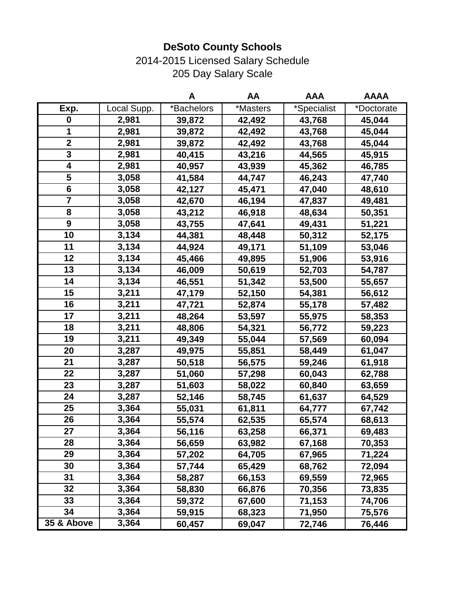2014-2015 Licensed Salary Schedule 205 Day Salary Scale

|                         |             | A          | AA       | <b>AAA</b>  | <b>AAAA</b> |
|-------------------------|-------------|------------|----------|-------------|-------------|
| Exp.                    | Local Supp. | *Bachelors | *Masters | *Specialist | *Doctorate  |
| 0                       | 2,981       | 39,872     | 42,492   | 43,768      | 45,044      |
| 1                       | 2,981       | 39,872     | 42,492   | 43,768      | 45,044      |
| $\overline{\mathbf{2}}$ | 2,981       | 39,872     | 42,492   | 43,768      | 45,044      |
| 3                       | 2,981       | 40,415     | 43,216   | 44,565      | 45,915      |
| 4                       | 2,981       | 40,957     | 43,939   | 45,362      | 46,785      |
| 5                       | 3,058       | 41,584     | 44,747   | 46,243      | 47,740      |
| $6\phantom{1}6$         | 3,058       | 42,127     | 45,471   | 47,040      | 48,610      |
| $\overline{\mathbf{7}}$ | 3,058       | 42,670     | 46,194   | 47,837      | 49,481      |
| 8                       | 3,058       | 43,212     | 46,918   | 48,634      | 50,351      |
| 9                       | 3,058       | 43,755     | 47,641   | 49,431      | 51,221      |
| 10                      | 3,134       | 44,381     | 48,448   | 50,312      | 52,175      |
| 11                      | 3,134       | 44,924     | 49,171   | 51,109      | 53,046      |
| 12                      | 3,134       | 45,466     | 49,895   | 51,906      | 53,916      |
| 13                      | 3,134       | 46,009     | 50,619   | 52,703      | 54,787      |
| 14                      | 3,134       | 46,551     | 51,342   | 53,500      | 55,657      |
| 15                      | 3,211       | 47,179     | 52,150   | 54,381      | 56,612      |
| 16                      | 3,211       | 47,721     | 52,874   | 55,178      | 57,482      |
| 17                      | 3,211       | 48,264     | 53,597   | 55,975      | 58,353      |
| 18                      | 3,211       | 48,806     | 54,321   | 56,772      | 59,223      |
| 19                      | 3,211       | 49,349     | 55,044   | 57,569      | 60,094      |
| 20                      | 3,287       | 49,975     | 55,851   | 58,449      | 61,047      |
| 21                      | 3,287       | 50,518     | 56,575   | 59,246      | 61,918      |
| 22                      | 3,287       | 51,060     | 57,298   | 60,043      | 62,788      |
| 23                      | 3,287       | 51,603     | 58,022   | 60,840      | 63,659      |
| 24                      | 3,287       | 52,146     | 58,745   | 61,637      | 64,529      |
| 25                      | 3,364       | 55,031     | 61,811   | 64,777      | 67,742      |
| 26                      | 3,364       | 55,574     | 62,535   | 65,574      | 68,613      |
| 27                      | 3,364       | 56,116     | 63,258   | 66,371      | 69,483      |
| 28                      | 3,364       | 56,659     | 63,982   | 67,168      | 70,353      |
| 29                      | 3,364       | 57,202     | 64,705   | 67,965      | 71,224      |
| 30                      | 3,364       | 57,744     | 65,429   | 68,762      | 72,094      |
| 31                      | 3,364       | 58,287     | 66,153   | 69,559      | 72,965      |
| 32                      | 3,364       | 58,830     | 66,876   | 70,356      | 73,835      |
| 33                      | 3,364       | 59,372     | 67,600   | 71,153      | 74,706      |
| 34                      | 3,364       | 59,915     | 68,323   | 71,950      | 75,576      |
| 35 & Above              | 3,364       | 60,457     | 69,047   | 72,746      | 76,446      |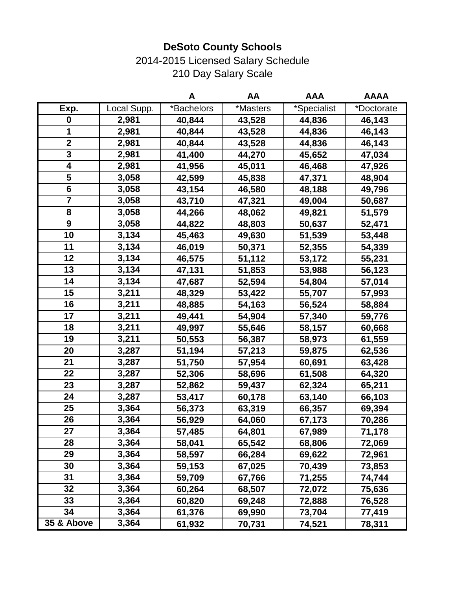2014-2015 Licensed Salary Schedule 210 Day Salary Scale

|                         |             | A          | AA       | <b>AAA</b>  | <b>AAAA</b> |
|-------------------------|-------------|------------|----------|-------------|-------------|
| Exp.                    | Local Supp. | *Bachelors | *Masters | *Specialist | *Doctorate  |
| $\boldsymbol{0}$        | 2,981       | 40,844     | 43,528   | 44,836      | 46,143      |
| 1                       | 2,981       | 40,844     | 43,528   | 44,836      | 46,143      |
| $\overline{\mathbf{2}}$ | 2,981       | 40,844     | 43,528   | 44,836      | 46,143      |
| 3                       | 2,981       | 41,400     | 44,270   | 45,652      | 47,034      |
| 4                       | 2,981       | 41,956     | 45,011   | 46,468      | 47,926      |
| 5                       | 3,058       | 42,599     | 45,838   | 47,371      | 48,904      |
| 6                       | 3,058       | 43,154     | 46,580   | 48,188      | 49,796      |
| $\overline{\mathbf{7}}$ | 3,058       | 43,710     | 47,321   | 49,004      | 50,687      |
| 8                       | 3,058       | 44,266     | 48,062   | 49,821      | 51,579      |
| 9                       | 3,058       | 44,822     | 48,803   | 50,637      | 52,471      |
| 10                      | 3,134       | 45,463     | 49,630   | 51,539      | 53,448      |
| 11                      | 3,134       | 46,019     | 50,371   | 52,355      | 54,339      |
| 12                      | 3,134       | 46,575     | 51,112   | 53,172      | 55,231      |
| 13                      | 3,134       | 47,131     | 51,853   | 53,988      | 56,123      |
| 14                      | 3,134       | 47,687     | 52,594   | 54,804      | 57,014      |
| 15                      | 3,211       | 48,329     | 53,422   | 55,707      | 57,993      |
| 16                      | 3,211       | 48,885     | 54,163   | 56,524      | 58,884      |
| 17                      | 3,211       | 49,441     | 54,904   | 57,340      | 59,776      |
| 18                      | 3,211       | 49,997     | 55,646   | 58,157      | 60,668      |
| 19                      | 3,211       | 50,553     | 56,387   | 58,973      | 61,559      |
| 20                      | 3,287       | 51,194     | 57,213   | 59,875      | 62,536      |
| 21                      | 3,287       | 51,750     | 57,954   | 60,691      | 63,428      |
| 22                      | 3,287       | 52,306     | 58,696   | 61,508      | 64,320      |
| 23                      | 3,287       | 52,862     | 59,437   | 62,324      | 65,211      |
| 24                      | 3,287       | 53,417     | 60,178   | 63,140      | 66,103      |
| 25                      | 3,364       | 56,373     | 63,319   | 66,357      | 69,394      |
| 26                      | 3,364       | 56,929     | 64,060   | 67,173      | 70,286      |
| 27                      | 3,364       | 57,485     | 64,801   | 67,989      | 71,178      |
| 28                      | 3,364       | 58,041     | 65,542   | 68,806      | 72,069      |
| 29                      | 3,364       | 58,597     | 66,284   | 69,622      | 72,961      |
| 30                      | 3,364       | 59,153     | 67,025   | 70,439      | 73,853      |
| 31                      | 3,364       | 59,709     | 67,766   | 71,255      | 74,744      |
| 32                      | 3,364       | 60,264     | 68,507   | 72,072      | 75,636      |
| 33                      | 3,364       | 60,820     | 69,248   | 72,888      | 76,528      |
| 34                      | 3,364       | 61,376     | 69,990   | 73,704      | 77,419      |
| 35 & Above              | 3,364       | 61,932     | 70,731   | 74,521      | 78,311      |